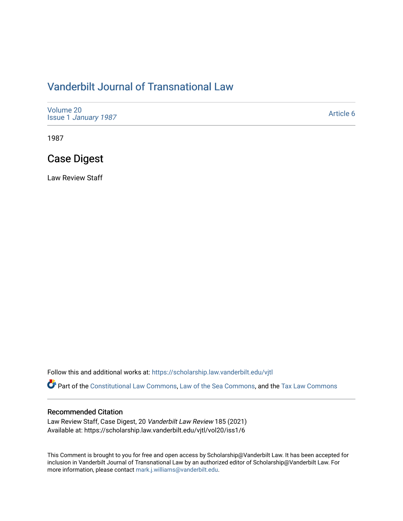# [Vanderbilt Journal of Transnational Law](https://scholarship.law.vanderbilt.edu/vjtl)

| Volume 20<br><b>Issue 1 January 1987</b> | Article 6 |
|------------------------------------------|-----------|
|------------------------------------------|-----------|

1987

# Case Digest

Law Review Staff

Follow this and additional works at: [https://scholarship.law.vanderbilt.edu/vjtl](https://scholarship.law.vanderbilt.edu/vjtl?utm_source=scholarship.law.vanderbilt.edu%2Fvjtl%2Fvol20%2Fiss1%2F6&utm_medium=PDF&utm_campaign=PDFCoverPages) 

Part of the [Constitutional Law Commons,](http://network.bepress.com/hgg/discipline/589?utm_source=scholarship.law.vanderbilt.edu%2Fvjtl%2Fvol20%2Fiss1%2F6&utm_medium=PDF&utm_campaign=PDFCoverPages) [Law of the Sea Commons](http://network.bepress.com/hgg/discipline/855?utm_source=scholarship.law.vanderbilt.edu%2Fvjtl%2Fvol20%2Fiss1%2F6&utm_medium=PDF&utm_campaign=PDFCoverPages), and the Tax Law Commons

# Recommended Citation

Law Review Staff, Case Digest, 20 Vanderbilt Law Review 185 (2021) Available at: https://scholarship.law.vanderbilt.edu/vjtl/vol20/iss1/6

This Comment is brought to you for free and open access by Scholarship@Vanderbilt Law. It has been accepted for inclusion in Vanderbilt Journal of Transnational Law by an authorized editor of Scholarship@Vanderbilt Law. For more information, please contact [mark.j.williams@vanderbilt.edu](mailto:mark.j.williams@vanderbilt.edu).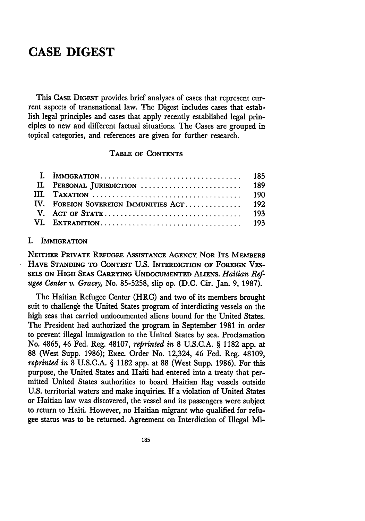# **CASE DIGEST**

This CASE DIGEST provides brief analyses of cases that represent current aspects of transnational law. The Digest includes cases that establish legal principles and cases that apply recently established legal principles to new and different factual situations. The Cases are grouped in topical categories, and references are given for further research.

# TABLE OF CONTENTS

### I. IMMIGRATION

NEITHER PRIVATE REFUGEE ASSISTANCE AGENCY NOR ITS MEMBERS HAVE STANDING TO **CONTEST U.S.** INTERDICTION OF FOREIGN VES-**SELS ON** HIGH **SEAS** CARRYING **UNDOCUMENTED ALIENS.** *Haitian Refugee Center v. Gracey,* No. **85-5258,** slip op. (D.C. Cir. Jan. 9, **1987).**

The Haitian Refugee Center (HRC) and two of its members brought suit to challenge the United States program of interdicting vessels on the high seas that carried undocumented aliens bound for the United States. The President had authorized the program in September 1981 in order to prevent illegal immigration to the United States by sea. Proclamation No. **4865,** 46 Fed. Reg. 48107, *reprinted in* **8** U.S.C.A. § 1182 app. at **88** (West Supp. 1986); Exec. Order No. 12,324, 46 Fed. Reg. 48109, *reprinted in* **8** U.S.C.A. § 1182 app. at **88** (West Supp. 1986). For this purpose, the United States and Haiti had entered into a treaty that permitted United States authorities to board Haitian flag vessels outside **U.S.** territorial waters and make inquiries. If a violation of United States or Haitian law was discovered, the vessel and its passengers were subject to return to Haiti. However, no Haitian migrant who qualified for refugee status was to be returned. Agreement on Interdiction of Illegal Mi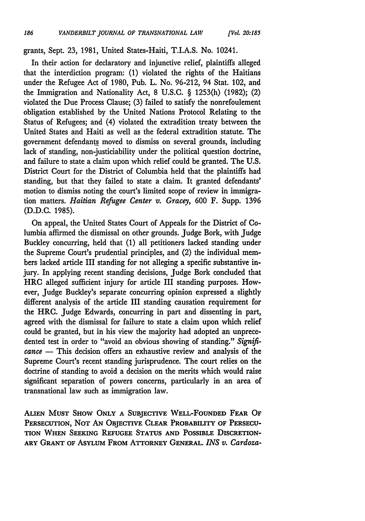grants, Sept. 23, 1981, United States-Haiti, T.I.A.S. No. 10241.

In their action for declaratory and injunctive relief, plaintiffs alleged that the interdiction program: (1) violated the rights of the Haitians under the Refugee Act of 1980, Pub. L. No. 96-212, 94 Stat. 102, and the Immigration and Nationality Act, 8 U.S.C. § 1253(h) (1982); (2) violated the Due Process Clause; (3) failed to satisfy the nonrefoulement obligation established by the United Nations Protocol Relating to the Status of Refugees; and (4) violated the extradition treaty between the United States and Haiti as well as the federal extradition statute. The government defendants moved to dismiss on several grounds, including lack of standing, non-justiciability under the political question doctrine, and failure to state a claim upon which relief could be granted. The U.S. District Court for the District of Columbia held that the plaintiffs had standing, but that they failed to state a claim. It granted defendants' motion to dismiss noting the court's limited scope of review in immigration matters. *Haitian Refugee Center v. Gracey,* 600 F. Supp. 1396 (D.D.C. 1985).

On appeal, the United States Court of Appeals for the District of Columbia affirmed the dismissal on other grounds. Judge Bork, with Judge Buckley concurring, held that **(1)** all petitioners lacked standing under the Supreme Court's prudential principles, and (2) the individual members lacked article III standing for not alleging a specific substantive injury. In applying recent standing decisions, Judge Bork concluded that HRC alleged sufficient injury for article III standing purposes. However, Judge Buckley's separate concurring opinion expressed a slightly different analysis of the article III standing causation requirement for the HRC. Judge Edwards, concurring in part and dissenting in part, agreed with the dismissal for failure to state a claim upon which relief could be granted, but in his view the majority had adopted an unprecedented test in order to "avoid an obvious showing of standing." *Significance* **-** This decision offers an exhaustive review and analysis of the Supreme Court's recent standing jurisprudence. The court relies on the doctrine of standing to avoid a decision on the merits which would raise significant separation of powers concerns, particularly in an area of transnational law such as immigration law.

**ALIEN MUST SHOW ONLY A SUBJECTIVE WELL-FOUNDED FEAR OF** PERSECUTION, NOT AN OBJECTIVE CLEAR PROBABILITY OF PERSECU-**TION WHEN SEEKING REFUGEE STATUS AND POSSIBLE DISCRETION-ARY GRANT OF ASYLUM FROM ATTORNEY GENERAL.** *INS v. Cardoza-*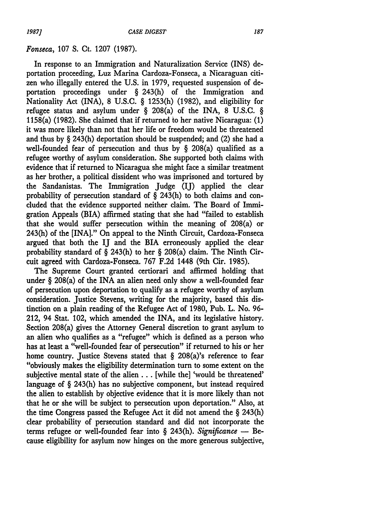#### *Fonseca,* **107 S.** Ct. 1207 (1987).

In response to an Immigration and Naturalization Service (INS) deportation proceeding, Luz Marina Cardoza-Fonseca, a Nicaraguan citizen who illegally entered the U.S. in 1979, requested suspension of deportation proceedings under § 243(h) of the Immigration and Nationality Act (INA), 8 U.S.C. § 1253(h) (1982), and eligibility for refugee status and asylum under § 208(a) of the INA, 8 U.S.C. § 1158(a) (1982). She claimed that if returned to her native Nicaragua: (1) it was more likely than not that her life or freedom would be threatened and thus by § 243(h) deportation should be suspended; and (2) she had a well-founded fear of persecution and thus by § 208(a) qualified as a refugee worthy of asylum consideration. She supported both claims with evidence that if returned to Nicaragua she might face a similar treatment as her brother, a political dissident who was imprisoned and tortured by the Sandanistas. The Immigration Judge (IJ) applied the dear probability of persecution standard of  $\S$  243(h) to both claims and concluded that the evidence supported neither claim. The Board of Immigration Appeals (BIA) affirmed stating that she had "failed to establish that she would suffer persecution within the meaning of 208(a) or 243(h) of the [INA]." On appeal to the Ninth Circuit, Cardoza-Fonseca argued that both the IJ and the BIA erroneously applied the clear probability standard of § 243(h) to her § 208(a) claim. The Ninth Circuit agreed with Cardoza-Fonseca. 767 F.2d 1448 (9th Cir. 1985).

The Supreme Court granted certiorari and affirmed holding that under § 208(a) of the INA an alien need only show a well-founded fear of persecution upon deportation to qualify as a refugee worthy of asylum consideration. Justice Stevens, writing for the majority, based this distinction on a plain reading of the Refugee Act of 1980, Pub. L. No. 96- 212, 94 Stat. 102, which amended the INA, and its legislative history. Section 208(a) gives the Attorney General discretion to grant asylum to an alien who qualifies as a "refugee" which is defined as a person who has at least a "well-founded fear of persecution" if returned to his or her home country. Justice Stevens stated that § 208(a)'s reference to fear "obviously makes the eligibility determination turn to some extent on the subjective mental state of the alien... [while the] 'would be threatened' language of § 243(h) has no subjective component, but instead required the alien to establish by objective evidence that it is more likely than not that he or she will be subject to persecution upon deportation." Also, at the time Congress passed the Refugee Act it did not amend the § 243(h) clear probability of persecution standard and did not incorporate the terms refugee or well-founded fear into § 243(h). *Significance* **-** Because eligibility for asylum now hinges on the more generous subjective,

187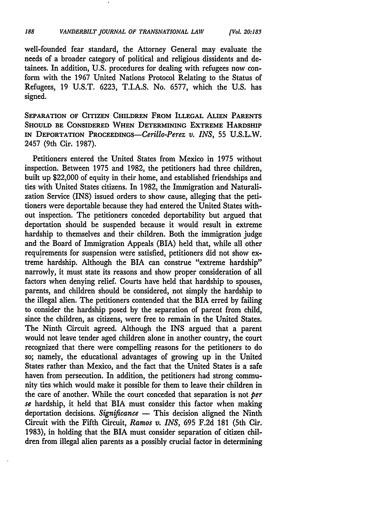well-founded fear standard, the Attorney General may evaluate the needs of a broader category of political and religious dissidents and detainees. In addition, U.S. procedures for dealing with refugees now conform with the 1967 United Nations Protocol Relating to the Status of Refugees, 19 U.S.T. 6223, T.I.A.S. No. 6577, which the U.S. has signed.

**SEPARATION OF CITIZEN CHILDREN** FROM **ILLEGAL ALIEN PARENTS SHOULD BE CONSIDERED WHEN DETERMINING EXTREME HARDSHIP IN DEPORTATION** *PROCEEDINGS-Cerillo-Perez v. INS,* 55 **U.S.L.W.** 2457 (9th Cir. **1987).**

Petitioners entered the United States from Mexico in 1975 without inspection. Between 1975 and 1982, the petitioners had three children, built up \$22,000 of equity in their home, and established friendships and ties with United States citizens. In 1982, the Immigration and Naturalization Service (INS) issued orders to show cause, alleging that the petitioners were deportable because they had entered the United States without inspection. The petitioners conceded deportability but argued that deportation should be suspended because it would result in extreme hardship to themselves and their children. Both the immigration judge and the Board of Immigration Appeals (BIA) held that, while all other requirements for suspension were satisfied, petitioners did not show extreme hardship. Although the BIA can construe "extreme hardship" narrowly, it must state its reasons and show proper consideration of all factors when denying relief. Courts have held that hardship to spouses, parents, and children should be considered, not simply the hardship to the illegal alien. The petitioners contended that the BIA erred by failing to consider the hardship posed by the separation of parent from child, since the children, as citizens, were free to remain in the United States. The Ninth Circuit agreed. Although the INS argued that a parent would not leave tender aged children alone in another country, the court recognized that there were compelling reasons for the petitioners to do so; namely, the educational advantages of growing up in the United States rather than Mexico, and the fact that the United States is a safe haven from persecution. In addition, the petitioners had strong community ties which would make it possible for them to leave their children in the care of another. While the court conceded that separation is not *per se* hardship, it held that BIA must consider this factor when making deportation decisions. *Significance* **-** This decision aligned the Ninth Circuit with the Fifth Circuit, *Ramos v. INS,* 695 F.2d 181 (5th Cir. 1983), in holding that the BIA must consider separation **of** citizen children from illegal alien parents as a possibly crucial factor in determining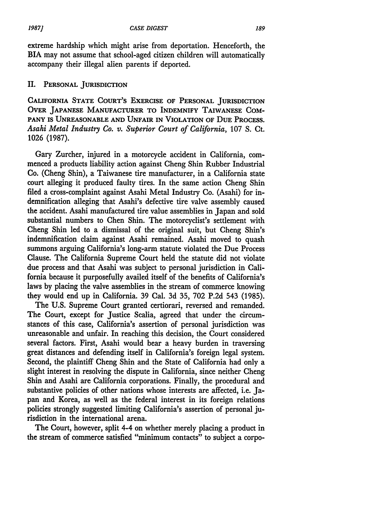extreme hardship which might arise from deportation. Henceforth, the BIA may not assume that school-aged citizen children will automatically accompany their illegal alien parents if deported.

# II. **PERSONAL JURISDICTION**

**CALIFORNIA STATE COURT'S EXERCISE OF PERSONAL JURISDICTION OVER JAPANESE MANUFACTURER TO INDEMNIFY TAIWANESE COM-**PANY IS UNREASONABLE AND UNFAIR IN VIOLATION OF DUE PROCESS. *Asahi Metal Industry Co. v. Superior Court of California,* 107 **S.** Ct. 1026 (1987).

Gary Zurcher, injured in a motorcycle accident in California, commenced a products liability action against Cheng Shin Rubber Industrial Co. (Cheng Shin), a Taiwanese tire manufacturer, in a California state court alleging it produced faulty tires. In the same action Cheng Shin filed a cross-complaint against Asahi Metal Industry Co. (Asahi) for indemnification alleging that Asahi's defective tire valve assembly caused the accident. Asahi manufactured tire value assemblies in Japan and sold substantial numbers to Chen Shin. The motorcyclist's settlement with Cheng Shin led to a dismissal of the original suit, but Cheng Shin's indemnification claim against Asahi remained. Asahi moved to quash summons arguing California's long-arm statute violated the Due Process Clause. The California Supreme Court held the statute did not violate due process and that Asahi was subject to personal jurisdiction in California because it purposefully availed itself of the benefits of California's laws by placing the valve assemblies in the stream of commerce knowing they would end up in California. 39 Cal. 3d 35, 702 P.2d 543 (1985).

The U.S. Supreme Court granted certiorari, reversed and remanded. The Court, except for Justice Scalia, agreed that under the circumstances of this case, California's assertion of personal jurisdiction was unreasonable and unfair. In reaching this decision, the Court considered several factors. First, Asahi would bear a heavy burden in traversing great distances and defending itself in California's foreign legal system. Second, the plaintiff Cheng Shin and the State of California had only a slight interest in resolving the dispute in California, since neither Cheng Shin and Asahi are California corporations. Finally, the procedural and substantive policies of other nations whose interests are affected, i.e. Japan and Korea, as well as the federal interest in its foreign relations policies strongly suggested limiting California's assertion of personal jurisdiction in the international arena.

The Court, however, split 4-4 **on** whether merely placing a product in the stream **of** commerce satisfied "minimum contacts" to subject a corpo-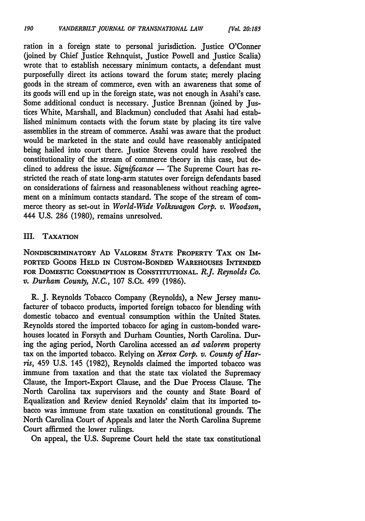ration in a foreign state to personal jurisdiction. Justice O'Conner (joined by Chief Justice Rehnquist, Justice Powell and Justice Scalia) wrote that to establish necessary minimum contacts, a defendant must purposefully direct its actions toward the forum state; merely placing goods in the stream of commerce, even with an awareness that some of its goods will end up in the foreign state, was not enough in Asahi's case. Some additional conduct is necessary. Justice Brennan (joined by Justices White, Marshall, and Blackmun) concluded that Asahi had established minimum contacts with the forum state by placing its tire valve assemblies in the stream of commerce. Asahi was aware that the product would be marketed in the state and could have reasonably anticipated being hailed into court there. Justice Stevens could have resolved the constitutionality of the stream of commerce theory in this case, but declined to address the issue. *Significance* — The Supreme Court has restricted the reach of state long-arm statutes over foreign defendants based on considerations of fairness and reasonableness without reaching agreement on a minimum contacts standard. The scope of the stream of commerce theory as set-out in *World-Wide Volkswagon Corp. v. Woodson,* 444 U.S. 286 (1980), remains unresolved.

# III. **TAXATION**

NONDISCRIMINATORY **AD** VALOREM **STATE PROPERTY** TAX **ON** IM-**PORTED GOODS HELD IN CUSTOM-BONDED WAREHOUSES INTENDED FOR** DOMESTIC CONSUMPTION **IS CONSTITUTIONAL.** *R.J. Reynolds Co. v. Durham County, N.C.,* 107 S.Ct. 499 (1986).

R. J. Reynolds Tobacco Company (Reynolds), a New Jersey manufacturer of tobacco products, imported foreign tobacco for blending with domestic tobacco and eventual consumption within the United States. Reynolds stored the imported tobacco for aging in custom-bonded warehouses located in Forsyth and Durham Counties, North Carolina. During the aging period, North Carolina accessed an *ad valorem* property tax on the imported tobacco. Relying on *Xerox Corp. v. County of Harris,* 459 U.S. 145 (1982), Reynolds claimed the imported tobacco was immune from taxation and that the state tax violated the Supremacy Clause, the Import-Export Clause, and the Due Process Clause. The North Carolina tax supervisors and the county and State Board of Equalization and Review denied Reynolds' claim that its imported tobacco was immune from state taxation on constitutional grounds. The North Carolina Court of Appeals and later the North Carolina Supreme Court affirmed the lower rulings.

On appeal, the U.S. Supreme Court held the state tax constitutional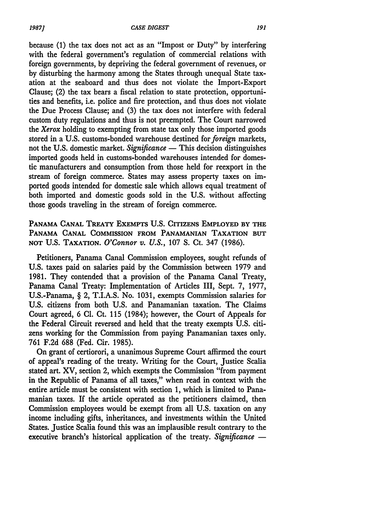because (1) the tax does not act as an "Impost or Duty" by interfering with the federal government's regulation of commercial relations with foreign governments, by depriving the federal government of revenues, or by disturbing the harmony among the States through unequal State taxation at the seaboard and thus does not violate the Import-Export Clause; (2) the tax bears a fiscal relation to state protection, opportunities and benefits, i.e. police and fire protection, and thus does not violate the Due Process Clause; and (3) the tax does not interfere with federal custom duty regulations and thus is not preempted. The Court narrowed the *Xerox* holding to exempting from state tax only those imported goods stored in a U.S. customs-bonded warehouse destined for *foreign* markets, not the U.S. domestic market. *Significance* — This decision distinguishes imported goods held in customs-bonded warehouses intended for domestic manufacturers and consumption from those held for reexport in the stream of foreign commerce. States may assess property taxes on imported goods intended for domestic sale which allows equal treatment of both imported and domestic goods sold in the **U.S.** without affecting those goods traveling in the stream of foreign commerce.

**PANAMA** CANAL TREATY EXEMPTS **U.S.** CITIzENs EMPLOYED BY THE PANAMA CANAL COMMISSION FROM PANAMANIAN TAXATION **BUT NOT U.S.** TAXATION. *O'Connor v. U.S.,* **107 S.** Ct. 347 (1986).

Petitioners, Panama Canal Commission employees, sought refunds of **U.S.** taxes paid on salaries paid **by** the Commission between **1979** and **1981.** They contended that a provision of the Panama Canal Treaty, Panama Canal Treaty: Implementation of Articles III, Sept. **7, 1977,** U.S.-Panama, § 2, T.I.A.S. No. **1031,** exempts Commission salaries for **U.S.** citizens from both **U.S.** and Panamanian taxation. The Claims Court agreed, **6 Cl.** Ct. **115** (1984); however, the Court of Appeals for the Federal Circuit reversed and held that the treaty exempts **U.S.** citizens working for the Commission from paying Panamanian taxes only. **761 F.2d 688** (Fed. Cir. **1985).**

On grant of certiorori, a unanimous Supreme Court affirmed the court of appeal's reading of the treaty. Writing for the Court, Justice Scalia stated art. XV, section 2, which exempts the Commission "from payment in the Republic of Panama of all taxes," when read in context with the entire article must be consistent with section **1,** which is limited to Panamanian taxes. If the article operated as the petitioners claimed, then Commission employees would be exempt from all **U.S.** taxation on any income including gifts, inheritances, and investments within the United States. Justice Scalia found this was an implausible result contrary to the executive branch's historical application of the treaty. *Significance* -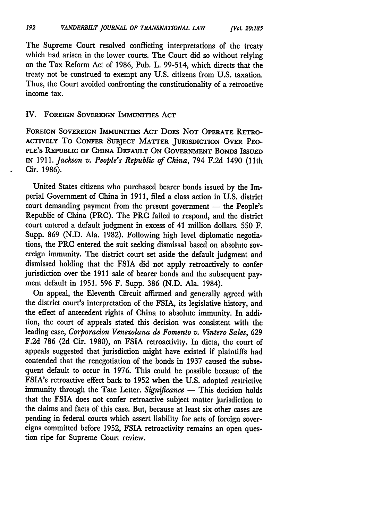The Supreme Court resolved conflicting interpretations of the treaty which had arisen in the lower courts. The Court did so without relying on the Tax Reform Act of 1986, Pub. L. 99-514, which directs that the treaty not be construed to exempt any U.S. citizens from U.S. taxation. Thus, the Court avoided confronting the constitutionality of a retroactive income tax.

## IV. **FOREIGN SOVEREIGN IMMUNITIES** ACT

**FOREIGN SOVEREIGN IMMUNITIES** ACT DoES **NOT OPERATE RETRO-ACTIVELY To CONFER SUBJECT MATTER JURISDICTION OVER PEO-PLE'S REPUBLIC OF CHINA DEFAULT ON GOVERNMENT BONDS ISSUED IN** 1911. *Jackson v. People's Republic of China,* 794 **F.2d** 1490 (11th Cir. 1986).

United States citizens who purchased bearer bonds issued by the Imperial Government of China in 1911, filed a class action in U.S. district court demanding payment from the present government — the People's Republic of China (PRC). The PRC failed to respond, and the district court entered a default judgment in excess of 41 million dollars. 550 F. Supp. 869 (N.D. Ala. 1982). Following high level diplomatic negotiations, the PRC entered the suit seeking dismissal based on absolute sovereign immunity. The district court set aside the default judgment and dismissed holding that the FSIA did not apply retroactively to confer jurisdiction over the 1911 sale of bearer bonds and the subsequent payment default in 1951. 596 F. Supp. 386 (N.D. Ala. 1984).

On appeal, the Eleventh Circuit affirmed and generally agreed with the district court's interpretation of the **FSIA,** its legislative history, and the effect of antecedent rights of China to absolute immunity. In addition, the court of appeals stated this decision was consistent with the leading case, *Corporacion Venezolana de Fomento v. Vintero Sales,* 629 F.2d 786 (2d Cir. 1980), on FSIA retroactivity. In dicta, the court of appeals suggested that jurisdiction might have existed if plaintiffs had contended that the renegotiation of the bonds in 1937 caused the subsequent default to occur in 1976. This could be possible because of the FSIA's retroactive effect back to 1952 when the U.S. adopted restrictive immunity through the Tate Letter. *Significance* - This decision holds that the FSIA does not confer retroactive subject matter jurisdiction to the claims and facts of this case. But, because at least six other cases are pending in federal courts which assert liability for acts of foreign sovereigns committed before 1952, FSIA retroactivity remains an open question ripe for Supreme Court review.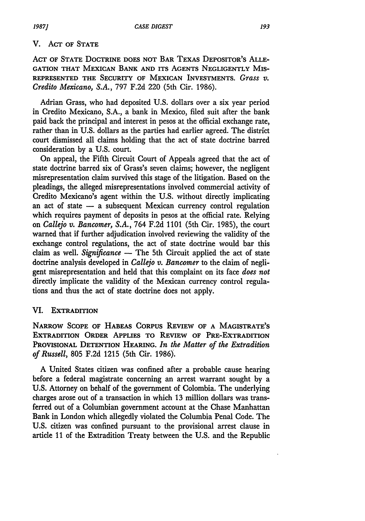### V. ACT **OF STATE**

ACT OF **STATE** DOCTRINE **DOES** NOT BAR TEXAS DEPOSITOR'S **ALLE-GATION THAT MEXICAN BANK AND ITS AGENTS NEGLIGENTLY MIS-REPRESENTED THE SECURITY OF MEXICAN INVESTMENTS.** *Grass v. Credito Mexicano, S.A.,* **797 F.2d** 220 (5th Cir. **1986).**

Adrian Grass, who had deposited **U.S.** dollars over a six year period in Credito Mexicano, **S.A.,** a bank in Mexico, filed suit after the bank paid back the principal and interest in pesos at the official exchange rate, rather than in **U.S.** dollars as the parties had earlier agreed. The district court dismissed all claims holding that the act of state doctrine barred consideration **by** a **U.S.** court.

On appeal, the Fifth Circuit Court of Appeals agreed that the act of state doctrine barred six of Grass's seven claims; however, the negligent misrepresentation claim survived this stage of the litigation. Based on the pleadings, the alleged misrepresentations involved commercial activity of Credito Mexicano's agent within the **U.S.** without directly implicating an act of state  $-$  a subsequent Mexican currency control regulation which requires payment of deposits in pesos at the official rate. Relying on *Callejo v. Bancomer, S.A.,* 764 F.2d 1101 (5th Cir. 1985), the court warned that if further adjudication involved reviewing the validity of the exchange control regulations, the act of state doctrine would bar this claim as well. *Significance* **-** The 5th Circuit applied the act of state doctrine analysis developed in *Callejo v. Bancomer* to the claim of negli**gent misrepresentation** and held that this complaint on its face *does not* directly implicate the validity of the Mexican currency control regulations and thus the act of state doctrine does not apply.

# VI. **EXTRADITION**

**NARROW SCOPE OF HABEAS** CORPUS REVIEW **OF A** MAGISTRATE'S **EXTRADITION ORDER APPLIES TO REVIEW OF PRE-EXTRADITION PROVISIONAL DETENTION HEARING.** *In the Matter of the Extradition of Russell,* **805 F.2d 1215** (5th Cir. **1986).**

**A** United States citizen was confined after a probable cause hearing before a federal magistrate concerning an arrest warrant sought **by** a **U.S.** Attorney on behalf of the government of Colombia. The underlying charges arose out of a transaction in which **13** million dollars was trans**ferred out of a** Columbian government account at the Chase Manhattan Bank in London which allegedly violated the Columbia Penal Code. The **U.S.** citizen was confined pursuant to the provisional arrest clause in article **11** of the Extradition Treaty between the **U.S.** and the Republic